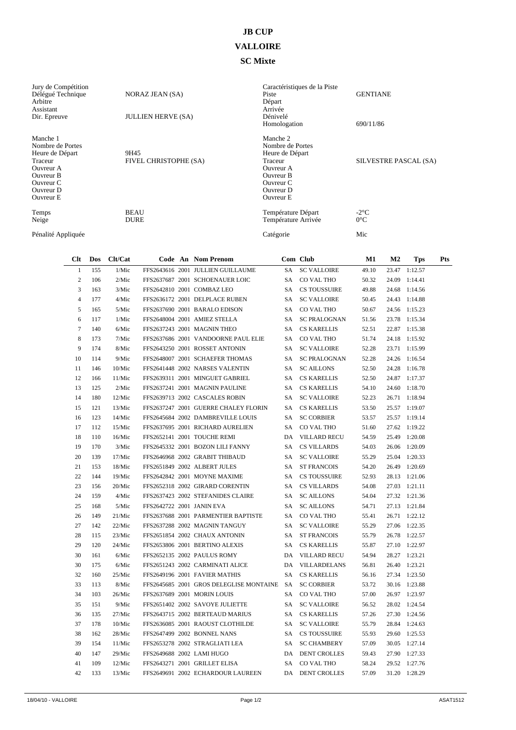## **JB CUP**

## **VALLOIRE**

## **SC Mixte**

| Jury de Compétition<br>Délégué Technique<br>Arbitre<br>Assistant<br>Dir. Epreuve                                                   | <b>NORAZ JEAN (SA)</b><br><b>JULLIEN HERVE (SA)</b> | Caractéristiques de la Piste<br>Piste<br>Départ<br>Arrivée<br>Dénivelé<br>Homologation                                             | <b>GENTIANE</b><br>690/11/86 |
|------------------------------------------------------------------------------------------------------------------------------------|-----------------------------------------------------|------------------------------------------------------------------------------------------------------------------------------------|------------------------------|
| Manche 1<br>Nombre de Portes<br>Heure de Départ<br>Traceur<br>Ouvreur A<br>Ouvreur B<br>Ouvreur C<br>Ouvreur D<br><b>Ouvreur E</b> | 9H45<br>FIVEL CHRISTOPHE (SA)                       | Manche 2<br>Nombre de Portes<br>Heure de Départ<br>Traceur<br>Ouvreur A<br>Ouvreur B<br>Ouvreur C<br>Ouvreur D<br><b>Ouvreur E</b> | SILVESTRE PASCAL (SA)        |
| Temps<br>Neige                                                                                                                     | <b>BEAU</b><br><b>DURE</b>                          | Température Départ<br>Température Arrivée                                                                                          | $-2$ °C<br>$0^{\circ}$ C     |
| Pénalité Appliquée                                                                                                                 |                                                     | Catégorie                                                                                                                          | Mic                          |

| Clt            | Dos | Clt/Cat |  | Code An Nom Prenom                         |      | Com Club            | M1    | $\bf M2$ | Tps           | <b>Pts</b> |
|----------------|-----|---------|--|--------------------------------------------|------|---------------------|-------|----------|---------------|------------|
| $\mathbf{1}$   | 155 | 1/Mic   |  | FFS2643616 2001 JULLIEN GUILLAUME          | SA   | <b>SC VALLOIRE</b>  | 49.10 |          | 23.47 1:12.57 |            |
| $\overline{c}$ | 106 | 2/Mic   |  | FFS2637687 2001 SCHOENAUER LOIC            | SA.  | CO VAL THO          | 50.32 |          | 24.09 1:14.41 |            |
| 3              | 163 | 3/Mic   |  | FFS2642810 2001 COMBAZ LEO                 | SA - | <b>CS TOUSSUIRE</b> | 49.88 | 24.68    | 1:14.56       |            |
| $\overline{4}$ | 177 | 4/Mic   |  | FFS2636172 2001 DELPLACE RUBEN             | SA - | <b>SC VALLOIRE</b>  | 50.45 |          | 24.43 1:14.88 |            |
| 5              | 165 | 5/Mic   |  | FFS2637690 2001 BARALO EDISON              | SA   | CO VAL THO          | 50.67 |          | 24.56 1:15.23 |            |
| 6              | 117 | 1/Mic   |  | FFS2648004 2001 AMIEZ STELLA               | SA   | <b>SC PRALOGNAN</b> | 51.56 |          | 23.78 1:15.34 |            |
| $\tau$         | 140 | 6/Mic   |  | FFS2637243 2001 MAGNIN THEO                | SA   | <b>CS KARELLIS</b>  | 52.51 |          | 22.87 1:15.38 |            |
| 8              | 173 | 7/Mic   |  | FFS2637686 2001 VANDOORNE PAUL ELIE        | SA   | CO VAL THO          | 51.74 |          | 24.18 1:15.92 |            |
| 9              | 174 | 8/Mic   |  | FFS2643250 2001 ROSSET ANTONIN             | SA   | <b>SC VALLOIRE</b>  | 52.28 |          | 23.71 1:15.99 |            |
| 10             | 114 | 9/Mic   |  | FFS2648007 2001 SCHAEFER THOMAS            | SA   | <b>SC PRALOGNAN</b> | 52.28 |          | 24.26 1:16.54 |            |
| 11             | 146 | 10/Mic  |  | FFS2641448 2002 NARSES VALENTIN            | SA.  | <b>SC AILLONS</b>   | 52.50 |          | 24.28 1:16.78 |            |
| 12             | 166 | 11/Mic  |  | FFS2639311 2001 MINGUET GABRIEL            | SA   | <b>CS KARELLIS</b>  | 52.50 |          | 24.87 1:17.37 |            |
| 13             | 125 | 2/Mic   |  | FFS2637241 2001 MAGNIN PAULINE             | SA - | <b>CS KARELLIS</b>  | 54.10 |          | 24.60 1:18.70 |            |
| 14             | 180 | 12/Mic  |  | FFS2639713 2002 CASCALES ROBIN             | SA - | <b>SC VALLOIRE</b>  | 52.23 |          | 26.71 1:18.94 |            |
| 15             | 121 | 13/Mic  |  | FFS2637247 2001 GUERRE CHALEY FLORIN       | SA.  | <b>CS KARELLIS</b>  | 53.50 |          | 25.57 1:19.07 |            |
| 16             | 123 | 14/Mic  |  | FFS2645684 2002 DAMBREVILLE LOUIS          | SA   | <b>SC CORBIER</b>   | 53.57 |          | 25.57 1:19.14 |            |
| 17             | 112 | 15/Mic  |  | FFS2637695 2001 RICHARD AURELIEN           | SA   | CO VAL THO          | 51.60 |          | 27.62 1:19.22 |            |
| 18             | 110 | 16/Mic  |  | FFS2652141 2001 TOUCHE REMI                | DA   | <b>VILLARD RECU</b> | 54.59 |          | 25.49 1:20.08 |            |
| 19             | 170 | 3/Mic   |  | FFS2645332 2001 BOZON LILI FANNY           | SA - | <b>CS VILLARDS</b>  | 54.03 |          | 26.06 1:20.09 |            |
| 20             | 139 | 17/Mic  |  | FFS2646968 2002 GRABIT THIBAUD             | SA   | <b>SC VALLOIRE</b>  | 55.29 |          | 25.04 1:20.33 |            |
| 21             | 153 | 18/Mic  |  | FFS2651849 2002 ALBERT JULES               | SA   | <b>ST FRANCOIS</b>  | 54.20 |          | 26.49 1:20.69 |            |
| 22             | 144 | 19/Mic  |  | FFS2642842 2001 MOYNE MAXIME               | SA   | <b>CS TOUSSUIRE</b> | 52.93 |          | 28.13 1:21.06 |            |
| 23             | 156 | 20/Mic  |  | FFS2652318 2002 GIRARD CORENTIN            | SA - | <b>CS VILLARDS</b>  | 54.08 |          | 27.03 1:21.11 |            |
| 24             | 159 | 4/Mic   |  | FFS2637423 2002 STEFANIDES CLAIRE          | SA.  | <b>SC AILLONS</b>   | 54.04 |          | 27.32 1:21.36 |            |
| 25             | 168 | 5/Mic   |  | FFS2642722 2001 JANIN EVA                  | SA   | <b>SC AILLONS</b>   | 54.71 |          | 27.13 1:21.84 |            |
| 26             | 149 | 21/Mic  |  | FFS2637688 2001 PARMENTIER BAPTISTE        | SA - | CO VAL THO          | 55.41 |          | 26.71 1:22.12 |            |
| 27             | 142 | 22/Mic  |  | FFS2637288 2002 MAGNIN TANGUY              | SA - | <b>SC VALLOIRE</b>  | 55.29 |          | 27.06 1:22.35 |            |
| 28             | 115 | 23/Mic  |  | FFS2651854 2002 CHAUX ANTONIN              | SA   | <b>ST FRANCOIS</b>  | 55.79 |          | 26.78 1:22.57 |            |
| 29             | 120 | 24/Mic  |  | FFS2653806 2001 BERTINO ALEXIS             | SA – | <b>CS KARELLIS</b>  | 55.87 |          | 27.10 1:22.97 |            |
| 30             | 161 | 6/Mic   |  | FFS2652135 2002 PAULUS ROMY                |      | DA VILLARD RECU     | 54.94 |          | 28.27 1:23.21 |            |
| 30             | 175 | 6/Mic   |  | FFS2651243 2002 CARMINATI ALICE            | DA   | VILLARDELANS        | 56.81 |          | 26.40 1:23.21 |            |
| 32             | 160 | 25/Mic  |  | FFS2649196 2001 FAVIER MATHIS              | SA   | <b>CS KARELLIS</b>  | 56.16 |          | 27.34 1:23.50 |            |
| 33             | 113 | 8/Mic   |  | FFS2645685 2001 GROS DELEGLISE MONTAINE SA |      | <b>SC CORBIER</b>   | 53.72 |          | 30.16 1:23.88 |            |
| 34             | 103 | 26/Mic  |  | FFS2637689 2001 MORIN LOUIS                | SA.  | CO VAL THO          | 57.00 |          | 26.97 1:23.97 |            |
| 35             | 151 | 9/Mic   |  | FFS2651402 2002 SAVOYE JULIETTE            | SA   | <b>SC VALLOIRE</b>  | 56.52 |          | 28.02 1:24.54 |            |
| 36             | 135 | 27/Mic  |  | FFS2643715 2002 BERTEAUD MARIUS            | SA   | <b>CS KARELLIS</b>  | 57.26 |          | 27.30 1:24.56 |            |
| 37             | 178 | 10/Mic  |  | FFS2636085 2001 RAOUST CLOTHILDE           | SA.  | <b>SC VALLOIRE</b>  | 55.79 |          | 28.84 1:24.63 |            |
| 38             | 162 | 28/Mic  |  | FFS2647499 2002 BONNEL NANS                | SA - | <b>CS TOUSSUIRE</b> | 55.93 |          | 29.60 1:25.53 |            |
| 39             | 154 | 11/Mic  |  | FFS2653278 2002 STRAGLIATI LEA             | SA.  | <b>SC CHAMBERY</b>  | 57.09 |          | 30.05 1:27.14 |            |
| 40             | 147 | 29/Mic  |  | FFS2649688 2002 LAMI HUGO                  | DA   | <b>DENT CROLLES</b> | 59.43 |          | 27.90 1:27.33 |            |
| 41             | 109 | 12/Mic  |  | FFS2643271 2001 GRILLET ELISA              | SA - | CO VAL THO          | 58.24 |          | 29.52 1:27.76 |            |
| 42             | 133 | 13/Mic  |  | FFS2649691 2002 ECHARDOUR LAUREEN          | DA   | <b>DENT CROLLES</b> | 57.09 |          | 31.20 1:28.29 |            |
|                |     |         |  |                                            |      |                     |       |          |               |            |